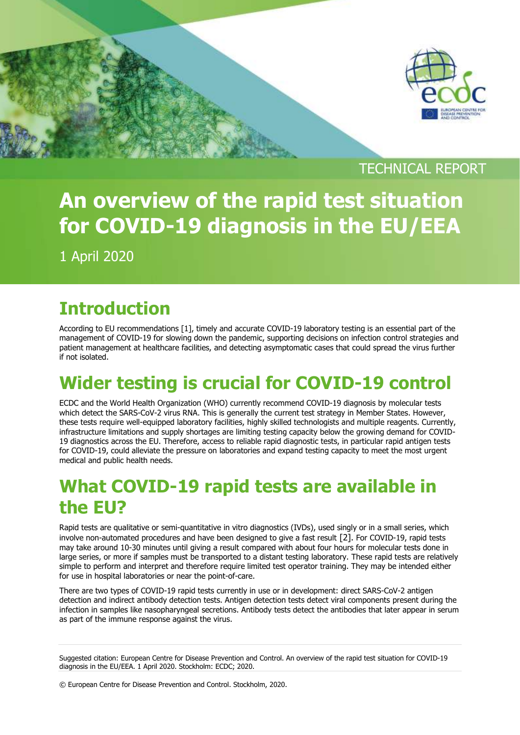

TECHNICAL REPORT

# **An overview of the rapid test situation for COVID-19 diagnosis in the EU/EEA**

1 April 2020

### **Introduction**

According to EU recommendations [1], timely and accurate COVID-19 laboratory testing is an essential part of the management of COVID-19 for slowing down the pandemic, supporting decisions on infection control strategies and patient management at healthcare facilities, and detecting asymptomatic cases that could spread the virus further if not isolated.

## **Wider testing is crucial for COVID-19 control**

ECDC and the World Health Organization (WHO) currently recommend COVID-19 diagnosis by molecular tests which detect the SARS-CoV-2 virus RNA. This is generally the current test strategy in Member States. However, these tests require well-equipped laboratory facilities, highly skilled technologists and multiple reagents. Currently, infrastructure limitations and supply shortages are limiting testing capacity below the growing demand for COVID-19 diagnostics across the EU. Therefore, access to reliable rapid diagnostic tests, in particular rapid antigen tests for COVID-19, could alleviate the pressure on laboratories and expand testing capacity to meet the most urgent medical and public health needs.

### **What COVID-19 rapid tests are available in the EU?**

Rapid tests are qualitative or semi-quantitative in vitro diagnostics (IVDs), used singly or in a small series, which involve non-automated procedures and have been designed to give a fast result [2]. For COVID-19, rapid tests may take around 10-30 minutes until giving a result compared with about four hours for molecular tests done in large series, or more if samples must be transported to a distant testing laboratory. These rapid tests are relatively simple to perform and interpret and therefore require limited test operator training. They may be intended either for use in hospital laboratories or near the point-of-care.

There are two types of COVID-19 rapid tests currently in use or in development: direct SARS-CoV-2 antigen detection and indirect antibody detection tests. Antigen detection tests detect viral components present during the infection in samples like nasopharyngeal secretions. Antibody tests detect the antibodies that later appear in serum as part of the immune response against the virus.

Suggested citation: European Centre for Disease Prevention and Control. An overview of the rapid test situation for COVID-19 diagnosis in the EU/EEA. 1 April 2020. Stockholm: ECDC; 2020.

© European Centre for Disease Prevention and Control. Stockholm, 2020.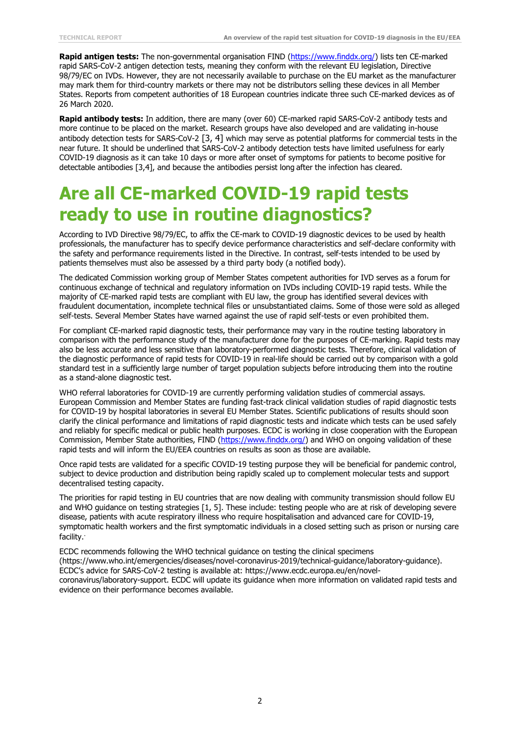**Rapid antigen tests:** The non-governmental organisation FIND [\(https://www.finddx.org/\)](https://www.finddx.org/) lists ten CE-marked rapid SARS-CoV-2 antigen detection tests, meaning they conform with the relevant EU legislation, Directive 98/79/EC on IVDs. However, they are not necessarily available to purchase on the EU market as the manufacturer may mark them for third-country markets or there may not be distributors selling these devices in all Member States. Reports from competent authorities of 18 European countries indicate three such CE-marked devices as of 26 March 2020.

**Rapid antibody tests:** In addition, there are many (over 60) CE-marked rapid SARS-CoV-2 antibody tests and more continue to be placed on the market. Research groups have also developed and are validating in-house antibody detection tests for SARS-CoV-2 [3, 4] which may serve as potential platforms for commercial tests in the near future. It should be underlined that SARS-CoV-2 antibody detection tests have limited usefulness for early COVID-19 diagnosis as it can take 10 days or more after onset of symptoms for patients to become positive for detectable antibodies [3,4], and because the antibodies persist long after the infection has cleared.

### **Are all CE-marked COVID-19 rapid tests ready to use in routine diagnostics?**

According to IVD Directive 98/79/EC, to affix the CE-mark to COVID-19 diagnostic devices to be used by health professionals, the manufacturer has to specify device performance characteristics and self-declare conformity with the safety and performance requirements listed in the Directive. In contrast, self-tests intended to be used by patients themselves must also be assessed by a third party body (a notified body).

The dedicated Commission working group of Member States competent authorities for IVD serves as a forum for continuous exchange of technical and regulatory information on IVDs including COVID-19 rapid tests. While the majority of CE-marked rapid tests are compliant with EU law, the group has identified several devices with fraudulent documentation, incomplete technical files or unsubstantiated claims. Some of those were sold as alleged self-tests. Several Member States have warned against the use of rapid self-tests or even prohibited them.

For compliant CE-marked rapid diagnostic tests, their performance may vary in the routine testing laboratory in comparison with the performance study of the manufacturer done for the purposes of CE-marking. Rapid tests may also be less accurate and less sensitive than laboratory-performed diagnostic tests. Therefore, clinical validation of the diagnostic performance of rapid tests for COVID-19 in real-life should be carried out by comparison with a gold standard test in a sufficiently large number of target population subjects before introducing them into the routine as a stand-alone diagnostic test.

WHO referral laboratories for COVID-19 are currently performing validation studies of commercial assays. European Commission and Member States are funding fast-track clinical validation studies of rapid diagnostic tests for COVID-19 by hospital laboratories in several EU Member States. Scientific publications of results should soon clarify the clinical performance and limitations of rapid diagnostic tests and indicate which tests can be used safely and reliably for specific medical or public health purposes. ECDC is working in close cooperation with the European Commission, Member State authorities, FIND [\(https://www.finddx.org/\)](https://www.finddx.org/) and WHO on ongoing validation of these rapid tests and will inform the EU/EEA countries on results as soon as those are available.

Once rapid tests are validated for a specific COVID-19 testing purpose they will be beneficial for pandemic control, subject to device production and distribution being rapidly scaled up to complement molecular tests and support decentralised testing capacity.

The priorities for rapid testing in EU countries that are now dealing with community transmission should follow EU and WHO guidance on testing strategies [1, 5]. These include: testing people who are at risk of developing severe disease, patients with acute respiratory illness who require hospitalisation and advanced care for COVID-19, symptomatic health workers and the first symptomatic individuals in a closed setting such as prison or nursing care facility. .

ECDC recommends following the WHO technical guidance on testing the clinical specimens (https://www.who.int/emergencies/diseases/novel-coronavirus-2019/technical-guidance/laboratory-guidance). ECDC's advice for SARS-CoV-2 testing is available at: [https://www.ecdc.europa.eu/en/novel](https://www.ecdc.europa.eu/en/novel-coronavirus/laboratory-support)[coronavirus/laboratory-support.](https://www.ecdc.europa.eu/en/novel-coronavirus/laboratory-support) ECDC will update its guidance when more information on validated rapid tests and evidence on their performance becomes available.